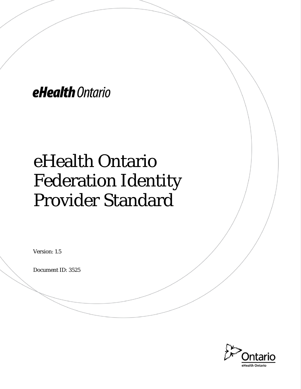eHealth Ontario

# eHealth Ontario Federation Identity Provider Standard

Version: 1.5

Document ID: 3525

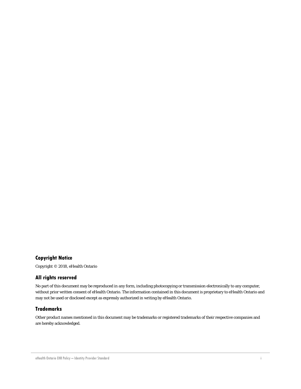#### **Copyright Notice**

Copyright © 2018, eHealth Ontario

#### **All rights reserved**

No part of this document may be reproduced in any form, including photocopying or transmission electronically to any computer, without prior written consent of eHealth Ontario. The information contained in this document is proprietary to eHealth Ontario and may not be used or disclosed except as expressly authorized in writing by eHealth Ontario.

#### **Trademarks**

Other product names mentioned in this document may be trademarks or registered trademarks of their respective companies and are hereby acknowledged.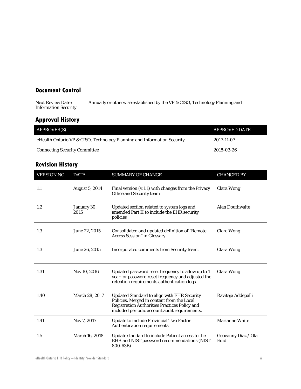### **Document Control**

Annually or otherwise established by the VP & CISO, Technology Planning and Next Review Date :<br>Information Security

### **Approval History**

| <b>APPROVER(S)</b>                                                      | <b>APPROVED DATE</b> |
|-------------------------------------------------------------------------|----------------------|
| eHealth Ontario VP & CISO, Technology Planning and Information Security | 2017-11-07           |
| <b>Connecting Security Committee</b>                                    | 2018-03-26           |

### **Revision History**

| <b>VERSION NO.</b> | <b>DATE</b>           | <b>SUMMARY OF CHANGE</b>                                                                                                                                                                           | <b>CHANGED BY</b>            |
|--------------------|-----------------------|----------------------------------------------------------------------------------------------------------------------------------------------------------------------------------------------------|------------------------------|
| 1.1                | <b>August 5, 2014</b> | Final version (v.1.1) with changes from the Privacy<br>Office and Security team                                                                                                                    | <b>Clara Wong</b>            |
| 1.2                | January 30,<br>2015   | Updated section related to system logs and<br>amended Part II to include the EHR security<br>policies                                                                                              | <b>Alan Douthwaite</b>       |
| 1.3                | June 22, 2015         | Consolidated and updated definition of "Remote<br>Access Session" in Glossary.                                                                                                                     | Clara Wong                   |
| 1.3                | June 26, 2015         | Incorporated comments from Security team.                                                                                                                                                          | Clara Wong                   |
| 1.31               | Nov 10, 2016          | Updated password reset frequency to allow up to 1<br>year for password reset frequency and adjusted the<br>retention requirements authentication logs.                                             | Clara Wong                   |
| 1.40               | March 28, 2017        | Updated Standard to align with EHR Security<br>Policies. Merged in content from the Local<br><b>Registration Authorities Practices Policy and</b><br>included periodic account audit requirements. | Raviteja Addepalli           |
| 1.41               | Nov 7, 2017           | <b>Update to include Provincial Two Factor</b><br>Authentication requirements                                                                                                                      | <b>Marianne White</b>        |
| 1.5                | March 16, 2018        | Update standard to include Patient access to the<br>EHR and NIST password recommendations (NIST<br>800-63B)                                                                                        | Geovanny Diaz / Ola<br>Edidi |

<span id="page-2-0"></span>eHealth Ontario EHR Policy – Identity Provider Standard ii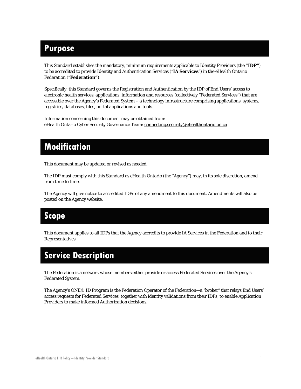## **Purpose**

This Standard establishes the mandatory, minimum requirements applicable to Identity Providers (the **"IDP"**) to be accredited to provide Identity and Authentication Services ("**IA Services**") in the eHealth Ontario Federation ("**Federation"**).

Specifically, this Standard governs the Registration and Authentication by the IDP of End Users' access to electronic health services, applications, information and resources (collectively "Federated Services") that are accessible over the Agency's Federated System – a technology infrastructure comprising applications, systems, registries, databases, files, portal applications and tools.

Information concerning this document may be obtained from: eHealth Ontario Cyber Security Governance Team: [connecting.security@ehealthontario.on.ca](mailto:connecting.security@ehealthontario.on.ca)

## **Modification**

This document may be updated or revised as needed.

The IDP must comply with this Standard as eHealth Ontario (the "Agency") may, in its sole discretion, amend from time to time.

The Agency will give notice to accredited IDPs of any amendment to this document. Amendments will also be posted on the Agency website.

## **Scope**

This document applies to all IDPs that the Agency accredits to provide IA Services in the Federation and to their Representatives.

## **Service Description**

The Federation is a network whose members either provide or access Federated Services over the Agency's Federated System.

The Agency's ONE® ID Program is the Federation Operator of the Federation—a "broker" that relays End Users' access requests for Federated Services, together with identity validations from their IDPs, to enable Application Providers to make informed Authorization decisions.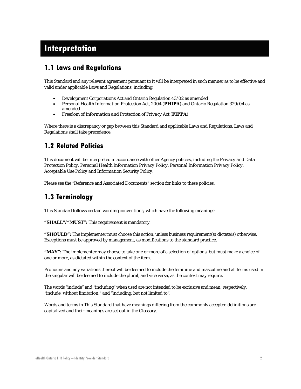## **Interpretation**

## **1.1 Laws and Regulations**

This Standard and any relevant agreement pursuant to it will be interpreted in such manner as to be effective and valid under applicable Laws and Regulations, including:

- *Development Corporations Act* and Ontario Regulation 43/02 as amended
- *Personal Health Information Protection Act, 2004* (**PHIPA**) and Ontario Regulation 329/04 as amended
- *Freedom of Information and Protection of Privacy Act* (**FIPPA**)

Where there is a discrepancy or gap between this Standard and applicable Laws and Regulations, Laws and Regulations shall take precedence.

## **1.2 Related Policies**

This document will be interpreted in accordance with other Agency policies, including the *Privacy and Data Protection Policy, Personal Health Information Privacy Policy, Personal Information Privacy Policy, Acceptable Use Policy and Information Security Policy.* 

Please see the "Reference and Associated Documents" section for links to these policies.

## **1.3 Terminology**

This Standard follows certain wording conventions, which have the following meanings:

**"SHALL"/"MUST":** This requirement is mandatory.

**"SHOULD":** The implementer must choose this action, unless business requirement(s) dictate(s) otherwise. Exceptions must be approved by management, as modifications to the standard practice.

**"MAY":** The implementer may choose to take one or more of a selection of options, but must make a choice of one or more, as dictated within the context of the item.

Pronouns and any variations thereof will be deemed to include the feminine and masculine and all terms used in the singular will be deemed to include the plural, and vice versa, as the context may require.

The words "include" and "including" when used are not intended to be exclusive and mean, respectively, "include, without limitation," and "including, but not limited to".

Words and terms in This Standard that have meanings differing from the commonly accepted definitions are capitalized and their meanings are set out in the Glossary.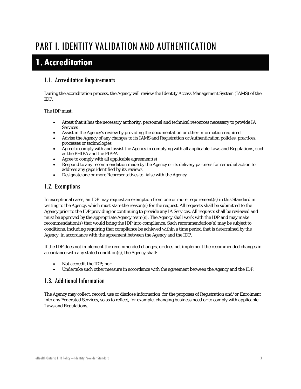## PART I. IDENTITY VALIDATION AND AUTHENTICATION

## **1. Accreditation**

#### 1.1. Accreditation Requirements

During the accreditation process, the Agency will review the Identity Access Management System (IAMS) of the IDP.

#### The IDP must:

- Attest that it has the necessary authority, personnel and technical resources necessary to provide IA Services
- Assist in the Agency's review by providing the documentation or other information required
- Advise the Agency of any changes to its IAMS and Registration or Authentication policies, practices, processes or technologies
- Agree to comply with and assist the Agency in complying with all applicable Laws and Regulations, such as the PHIPA and the FIPPA
- Agree to comply with all applicable agreement(s)
- Respond to any recommendation made by the Agency or its delivery partners for remedial action to address any gaps identified by its reviews
- Designate one or more Representatives to liaise with the Agency

#### 1.2. Exemptions

In exceptional cases, an IDP may request an exemption from one or more requirement(s) in this Standard in writing to the Agency, which must state the reason(s) for the request. All requests shall be submitted to the Agency prior to the IDP providing or continuing to provide any IA Services. All requests shall be reviewed and must be approved by the appropriate Agency team(s). The Agency shall work with the IDP and may make recommendation(s) that would bring the IDP into compliance. Such recommendation(s) may be subject to conditions, including requiring that compliance be achieved within a time period that is determined by the Agency, in accordance with the agreement between the Agency and the IDP.

If the IDP does not implement the recommended changes, or does not implement the recommended changes in accordance with any stated condition(s), the Agency shall:

- Not accredit the IDP; nor
- Undertake such other measure in accordance with the agreement between the Agency and the IDP.

#### 1.3. Additional Information

The Agency may collect, record, use or disclose information for the purposes of Registration and/or Enrolment into any Federated Services, so as to reflect, for example, changing business need or to comply with applicable Laws and Regulations.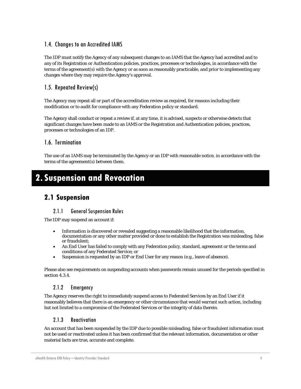#### 1.4. Changes to an Accredited IAMS

The IDP must notify the Agency of any subsequent changes to an IAMS that the Agency had accredited and to any of its Registration or Authentication policies, practices, processes or technologies, in accordance with the terms of the agreement(s) with the Agency or as soon as reasonably practicable, and prior to implementing any changes where they may require the Agency's approval.

#### 1.5. Repeated Review(s)

The Agency may repeat all or part of the accreditation review as required, for reasons including their modification or to audit for compliance with any Federation policy or standard.

The Agency shall conduct or repeat a review if, at any time, it is advised, suspects or otherwise detects that significant changes have been made to an IAMS or the Registration and Authentication policies, practices, processes or technologies of an IDP.

#### 1.6. Termination

The use of an IAMS may be terminated by the Agency or an IDP with reasonable notice, in accordance with the terms of the agreement(s) between them.

## **2. Suspension and Revocation**

### **2.1 Suspension**

#### 2.1.1 General Suspension Rules

The IDP may suspend an account if:

- Information is discovered or revealed suggesting a reasonable likelihood that the information, documentation or any other matter provided or done to establish the Registration was misleading, false or fraudulent;
- An End User has failed to comply with any Federation policy, standard, agreement or the terms and conditions of any Federated Service; or
- Suspension is requested by an IDP or End User for any reason (e.g., leave of absence).

Please also see requirements on suspending accounts when passwords remain unused for the periods specified in sectio[n 4.3.4.](#page-16-0)

#### 2.1.2 Emergency

The Agency reserves the right to immediately suspend access to Federated Services by an End User if it reasonably believes that there is an emergency or other circumstance that would warrant such action, including but not limited to a compromise of the Federated Services or the integrity of data therein.

#### 2.1.3 Reactivation

An account that has been suspended by the IDP due to possible misleading, false or fraudulent information must not be used or reactivated unless it has been confirmed that the relevant information, documentation or other material facts are true, accurate and complete.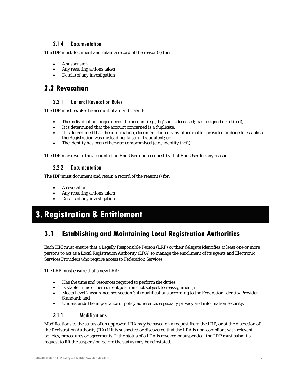#### 2.1.4 Documentation

The IDP must document and retain a record of the reason(s) for:

- A suspension
- Any resulting actions taken
- Details of any investigation

### **2.2 Revocation**

#### 2.2.1 General Revocation Rules

The IDP must revoke the account of an End User if:

- The individual no longer needs the account (e.g., he/she is deceased; has resigned or retired);
- It is determined that the account concerned is a duplicate;
- It is determined that the information, documentation or any other matter provided or done to establish the Registration was misleading, false, or fraudulent; or
- The identity has been otherwise compromised (e.g., identity theft).

The IDP may revoke the account of an End User upon request by that End User for any reason.

#### 2.2.2 Documentation

The IDP must document and retain a record of the reason(s) for:

- A revocation
- Any resulting actions taken
- Details of any investigation

## **3. Registration & Entitlement**

## **3.1 Establishing and Maintaining Local Registration Authorities**

Each HIC must ensure that a Legally Responsible Person (LRP) or their delegate identifies at least one or more persons to act as a Local Registration Authority (LRA) to manage the enrollment of its agents and Electronic Services Providers who require access to Federation Services.

The LRP must ensure that a new LRA:

- Has the time and resources required to perform the duties;
- Is stable in his or her current position (not subject to reassignment);
- Meets Level 2 assurance(see section [3.4\)](#page-11-0) qualifications according to the Federation Identity Provider Standard; and
- Understands the importance of policy adherence, especially privacy and information security.

#### 3.1.1 Modifications

Modifications to the status of an approved LRA may be based on a request from the LRP, or at the discretion of the Registration Authority (RA) if it is suspected or discovered that the LRA is non-compliant with relevant policies, procedures or agreements. If the status of a LRA is revoked or suspended, the LRP must submit a request to lift the suspension before the status may be reinstated.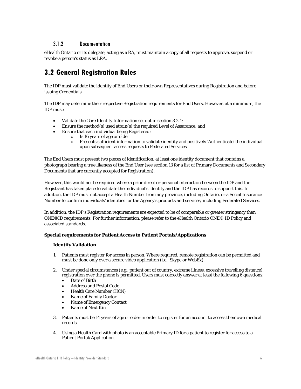#### 3.1.2 Documentation

eHealth Ontario or its delegate, acting as a RA, must maintain a copy of all requests to approve, suspend or revoke a person's status as LRA.

## **3.2 General Registration Rules**

The IDP must validate the identity of End Users or their own Representatives during Registration and before issuing Credentials.

The IDP may determine their respective Registration requirements for End Users. However, at a minimum, the IDP must:

- Validate the Core Identity Information set out in section [3.2.1;](#page-9-0)
- Ensure the method(s) used attain(s) the required Level of Assurance; and
- Ensure that each individual being Registered:
	- $\circ$  Is 16 years of age or older<br>  $\circ$  Presents sufficient inform
	- Presents sufficient information to validate identity and positively 'Authenticate' the individual upon subsequent access requests to Federated Services

The End Users must present two pieces of identification, at least one identity document that contains a photograph bearing a true likeness of the End User (see section [13](#page-28-0) for a list of Primary Documents and Secondary Documents that are currently accepted for Registration).

However, this would not be required where a prior direct or personal interaction between the IDP and the Registrant has taken place to validate the individual's identity and the IDP has records to support this. In addition, the IDP must not accept a Health Number from any province, including Ontario, or a Social Insurance Number to confirm individuals' identities for the Agency's products and services, including Federated Services.

In addition, the IDP's Registration requirements are expected to be of comparable or greater stringency than ONE®ID requirements. For further information, please refer to th[e eHealth Ontario ONE® ID Policy](https://www.ehealthontario.ca/portal/server.pt/gateway/PTARGS_0_95092_19625_0_0_43/http%3B/wcipublisher.phportal.prod.ont.gss%3B7087/publishedcontent/publish/ssha/eho/communities/registration_authority/one_id_policy_and_standards_documents/one_id_policy.pdf) and [associated standards.](https://www.ehealthontario.ca/portal/server.pt/gateway/PTARGS_0_0_19625_0_0_43/http;/wcipublisher.phportal.prod.ont.gss;7087/publishedcontent/publish/ssha/eho/communities/registration_authority/one_id_policies_and_standards_page.html) 

#### **Special requirements for Patient Access to Patient Portals/Applications**

#### **Identify Validation**

- 1. Patients must register for access in person. Where required, remote registration can be permitted and must be done only over a secure video application (i.e., Skype or WebEx).
- 2. Under special circumstances (e.g., patient out of country, extreme illness, excessive travelling distance), registration over the phone is permitted. Users must correctly answer at least the following 6 questions:
	- Date of Birth
	- Address and Postal Code
	- Health Care Number (HCN)
	- Name of Family Doctor
	- Name of Emergency Contact
	- Name of Next Kin
- 3. Patients must be 14 years of age or older in order to register for an account to access their own medical records.
- 4. Using a Health Card with photo is an acceptable Primary ID for a patient to register for access to a Patient Portal/Application.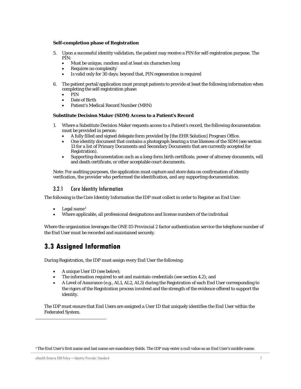#### **Self-completion phase of Registration**

- 5. Upon a successful identity validation, the patient may receive a PIN for self-registration purpose. The PIN:
	- Must be unique, random and at least six characters long
	- Requires no complexity
	- Is valid only for 30 days; beyond that, PIN regeneration is required
- 6. The patient portal/application must prompt patients to provide at least the following information when completing the self-registration phase:
	- PIN
	- Date of Birth
	- Patient's Medical Record Number (MRN)

#### **Substitute Decision Maker (SDM) Access to a Patient's Record**

- 1. Where a Substitute Decision Maker requests access to a Patient's record, the following documentation must be provided in person:
	- A fully filled and signed delegate form provided by [the EHR Solution] Program Office.
	- One identity document that contains a photograph bearing a true likeness of the SDM (see section 13 for a list of Primary Documents and Secondary Documents that are currently accepted for Registration).
	- Supporting documentation such as a long-form birth certificate, power of attorney documents, will and death certificate, or other acceptable court documents.

Note: For auditing purposes, the application must capture and store data on confirmation of identity verification, the provider who performed the identification, and any supporting documentation.

#### 3.2.1 Core Identity Information

<span id="page-9-0"></span>The following is the Core Identity Information the IDP must collect in order to Register an End User:

- Legal name $1$
- Where applicable, all professional designations and license numbers of the individual

Where the organization leverages the ONE ID Provincial 2 factor authentication service the telephone number of the End User must be recorded and maintained securely.

## **3.3 Assigned Information**

During Registration, the IDP must assign every End User the following:

- A unique User ID (see below);
- The information required to set and maintain credentials (see section [4.2\)](#page-15-0); and
- A Level of Assurance (e.g., AL1, AL2, AL3) during the Registration of each End User corresponding to the rigors of the Registration process involved and the strength of the evidence offered to support the identity.

The IDP must ensure that End Users are assigned a User ID that uniquely identifies the End User within the Federated System.

<span id="page-9-1"></span> $\overline{a}$ 

<sup>1</sup> The End User's first name and last name are mandatory fields. The IDP may enter a null value as an End User's middle name.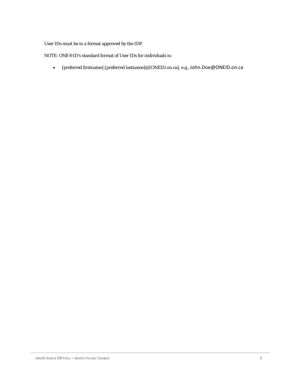User IDs must be in a format approved by the IDP.

NOTE: ONE®ID's standard format of User IDs for individuals is:

• [preferred firstname].[preferred lastname]@[ONEID.on.ca], e.g., [John.Doe@ONEID.on.ca](mailto:John.Doe@ONEID.on.ca)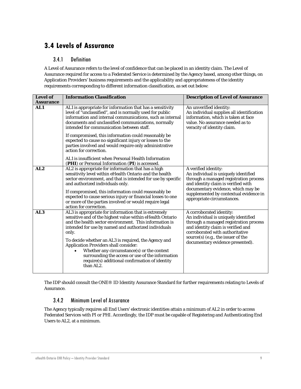## <span id="page-11-0"></span>**3.4 Levels of Assurance**

#### 3.4.1 Definition

A Level of Assurance refers to the level of confidence that can be placed in an identity claim. The Level of Assurance required for access to a Federated Service is determined by the Agency based, among other things, on Application Providers' business requirements and the applicability and appropriateness of the identity requirements corresponding to different information classification, as set out below:

| <b>Level of</b><br><b>Assurance</b> | <b>Information Classification</b>                                                                                                                                                                                                                                                                                                                                                                                                                                                                                     | <b>Description of Level of Assurance</b>                                                                                                                                                                                                                         |
|-------------------------------------|-----------------------------------------------------------------------------------------------------------------------------------------------------------------------------------------------------------------------------------------------------------------------------------------------------------------------------------------------------------------------------------------------------------------------------------------------------------------------------------------------------------------------|------------------------------------------------------------------------------------------------------------------------------------------------------------------------------------------------------------------------------------------------------------------|
| AL1                                 | AL1 is appropriate for information that has a sensitivity<br>level of "unclassified", and is normally used for public<br>information and internal communications, such as internal<br>documents and unclassified communications, normally<br>intended for communication between staff.                                                                                                                                                                                                                                | An unverified identity:<br>An individual supplies all identification<br>information, which is taken at face<br>value. No assurance needed as to<br>veracity of identity claim.                                                                                   |
|                                     | If compromised, this information could reasonably be<br>expected to cause no significant injury or losses to the<br>parties involved and would require only administrative<br>action for correction.                                                                                                                                                                                                                                                                                                                  |                                                                                                                                                                                                                                                                  |
|                                     | AL1 is insufficient when Personal Health Information<br>(PHI) or Personal Information (PI) is accessed.                                                                                                                                                                                                                                                                                                                                                                                                               |                                                                                                                                                                                                                                                                  |
| AL2                                 | AL2 is appropriate for information that has a high<br>sensitivity level within eHealth Ontario and the health<br>sector environment, and that is intended for use by specific<br>and authorized individuals only.<br>If compromised, this information could reasonably be<br>expected to cause serious injury or financial losses to one<br>or more of the parties involved or would require legal<br>action for correction.                                                                                          | A verified identity:<br>An individual is uniquely identified<br>through a managed registration process<br>and identity claim is verified with<br>documentary evidence, which may be<br>supplemented by contextual evidence in<br>appropriate circumstances.      |
| AL3                                 | AL3 is appropriate for information that is extremely<br>sensitive and of the highest value within eHealth Ontario<br>and the health sector environment. This information is<br>intended for use by named and authorized individuals<br>only.<br>To decide whether an AL3 is required, the Agency and<br><b>Application Providers shall consider:</b><br>Whether any circumstance(s) or the context<br>surrounding the access or use of the information<br>require(s) additional confirmation of identity<br>than AL2. | A corroborated identity:<br>An individual is uniquely identified<br>through a managed registration process<br>and identity claim is verified and<br>corroborated with authoritative<br>source $(s)$ (e.g., the issuer of the<br>documentary evidence presented). |

The IDP should consult th[e ONE® ID Identity Assurance Standard](https://www.ehealthontario.ca/portal/server.pt/gateway/PTARGS_0_95092_19625_0_0_43/http%3B/wcipublisher.phportal.prod.ont.gss%3B7087/publishedcontent/publish/ssha/eho/communities/registration_authority/one_id_policy_and_standards/one_id_identity_assurance_level_standard.pdf) for further requirements relating to Levels of Assurance.

#### 3.4.2 Minimum Level of Assurance

The Agency typically requires all End Users' electronic identities attain a minimum of AL2 in order to access Federated Services with PI or PHI. Accordingly, the IDP must be capable of Registering and Authenticating End Users to AL2, at a minimum.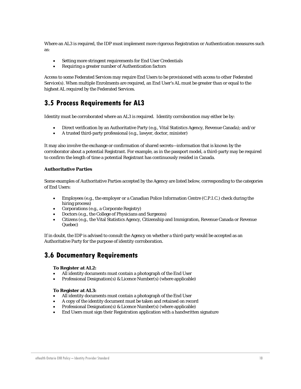Where an AL3 is required, the IDP must implement more rigorous Registration or Authentication measures such as:

- Setting more stringent requirements for End User Credentials
- Requiring a greater number of Authentication factors

Access to some Federated Services may require End Users to be provisioned with access to other Federated Service(s). When multiple Enrolments are required, an End User's AL must be greater than or equal to the highest AL required by the Federated Services.

### **3.5 Process Requirements for AL3**

Identity must be corroborated where an AL3 is required. Identity corroboration may either be by:

- Direct verification by an Authoritative Party (e.g., Vital Statistics Agency, Revenue Canada); and/or
- A trusted third-party professional (e.g., lawyer, doctor, minister)

It may also involve the exchange or confirmation of shared secrets—information that is known by the corroborator about a potential Registrant. For example, as in the passport model, a third-party may be required to confirm the length of time a potential Registrant has continuously resided in Canada.

#### **Authoritative Parties**

Some examples of Authoritative Parties accepted by the Agency are listed below, corresponding to the categories of End Users:

- Employees (e.g., the employer or a Canadian Police Information Centre (C.P.I.C.) check during the hiring process)
- Corporations (e.g., a Corporate Registry)
- Doctors (e.g., the College of Physicians and Surgeons)
- Citizens (e.g., the Vital Statistics Agency, Citizenship and Immigration, Revenue Canada or Revenue Quebec)

If in doubt, the IDP is advised to consult the Agency on whether a third-party would be accepted as an Authoritative Party for the purpose of identity corroboration.

### **3.6 Documentary Requirements**

#### **To Register at AL2:**

- All identity documents must contain a photograph of the End User
- Professional Designation(s) & Licence Number(s) (where applicable)

#### **To Register at AL3:**

- All identity documents must contain a photograph of the End User
- A copy of the identity document must be taken and retained on record
- Professional Designation(s) & Licence Number(s) (where applicable)
- End Users must sign their Registration application with a handwritten signature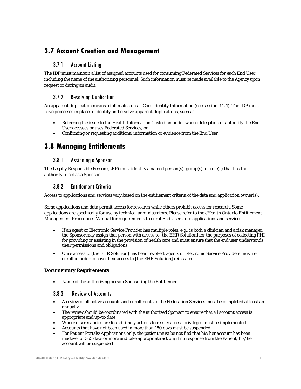## **3.7 Account Creation and Management**

#### 3.7.1 Account Listing

The IDP must maintain a list of assigned accounts used for consuming Federated Services for each End User, including the name of the authorizing personnel. Such information must be made available to the Agency upon request or during an audit.

#### 3.7.2 Resolving Duplication

An apparent duplication means a full match on all Core Identity Information (see sectio[n 3.2.1\)](#page-9-0). The IDP must have processes in place to identify and resolve apparent duplications, such as:

- Referring the issue to the Health Information Custodian under whose delegation or authority the End User accesses or uses Federated Services; or
- Confirming or requesting additional information or evidence from the End User.

### **3.8 Managing Entitlements**

#### 3.8.1 Assigning a Sponsor

The Legally Responsible Person (LRP) must identify a named person(s), group(s), or role(s) that has the authority to act as a Sponsor.

#### 3.8.2 Entitlement Criteria

Access to applications and services vary based on the entitlement criteria of the data and application owner(s).

Some applications and data permit access for research while others prohibit access for research. Some applications are specifically for use by technical administrators. Please refer to the *[eHealth Ontario Entitlement](https://www.ehealthontario.on.ca/images/uploads/support/one-id/Entitlement_Procedures_Manual.pdf)  [Management Procedures Manual](https://www.ehealthontario.on.ca/images/uploads/support/one-id/Entitlement_Procedures_Manual.pdf)* for requirements to enrol End Users into applications and services.

- If an agent or Electronic Service Provider has multiple roles, e.g., is both a clinician and a risk manager, the Sponsor may assign that person with access to [the EHR Solution] for the purposes of collecting PHI for providing or assisting in the provision of health care and must ensure that the end user understands their permissions and obligations
- Once access to [the EHR Solution] has been revoked, agents or Electronic Service Providers must reenroll in order to have their access to [the EHR Solution] reinstated

#### **Documentary Requirements**

• Name of the authorizing person Sponsoring the Entitlement

#### 3.8.3 Review of Accounts

- A review of all active accounts and enrollments to the Federation Services must be completed at least an annually
- The review should be coordinated with the authorized Sponsor to ensure that all account access is appropriate and up-to-date
- Where discrepancies are found timely actions to rectify access privileges must be implemented
- Accounts that have not been used in more than 180 days must be suspended
- For Patient Portals/Applications only, the patient must be notified that his/her account has been inactive for 365 days or more and take appropriate action; if no response from the Patient, his/her account will be suspended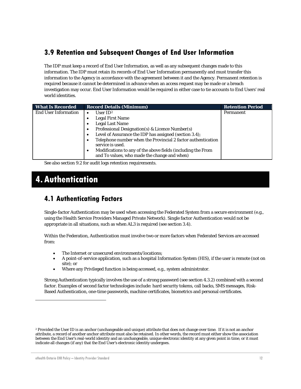## **3.9 Retention and Subsequent Changes of End User Information**

The IDP must keep a record of End User Information, as well as any subsequent changes made to this information. The IDP must retain its records of End User Information permanently and must transfer this information to the Agency in accordance with the agreement between it and the Agency. Permanent retention is required because it cannot be determined in advance when an access request may be made or a breach investigation may occur. End User Information would be required in either case to tie accounts to End Users' real world identities.

| <b>What Is Recorded</b>     | <b>Record Details (Minimum)</b>                                                                                   | <b>Retention Period</b> |
|-----------------------------|-------------------------------------------------------------------------------------------------------------------|-------------------------|
| <b>End User Information</b> | User $ID^2$                                                                                                       | Permanent               |
|                             | <b>Legal First Name</b>                                                                                           |                         |
|                             | <b>Legal Last Name</b>                                                                                            |                         |
|                             | Professional Designation(s) & Licence Number(s)                                                                   |                         |
|                             | Level of Assurance the IDP has assigned (section 3.4);<br>٠                                                       |                         |
|                             | Telephone number when the Provincial 2 factor authentication<br>service is used.                                  |                         |
|                             | Modifications to any of the above fields (including the From<br>٠<br>and To values, who made the change and when) |                         |

See also sectio[n 9.2](#page-19-0) for audit logs retention requirements.

## **4. Authentication**

## **4.1 Authenticating Factors**

Single-factor Authentication may be used when accessing the Federated System from a secure environment (e.g., using the Health Service Providers Managed Private Network). Single factor Authentication would not be appropriate in all situations, such as when AL3 is required (see sectio[n 3.4\)](#page-11-0).

Within the Federation, Authentication must involve two or more factors when Federated Services are accessed from:

- The Internet or unsecured environments/locations;
- A point-of-service application, such as a hospital Information System (HIS), if the user is remote (not on site); or
- Where any Privileged function is being accessed, e.g., system administrator.

Strong Authentication typically involves the use of a strong password (see section [4.3.2\)](#page-15-0) combined with a second factor. Examples of second factor technologies include: hard security tokens, call backs, SMS messages, Risk-Based Authentication, one-time passwords, machine certificates, biometrics and personal certificates.

 $\overline{a}$ 

<span id="page-14-0"></span><sup>2</sup> Provided the User ID is an anchor (unchangeable and unique) attribute that does not change over time. If it is not an anchor attribute, a record of another anchor attribute must also be retained. In other words, the record must either show the association between the End User's real-world identity and an unchangeable, unique electronic identity at any given point in time, or it must indicate all changes (if any) that the End User's electronic identity undergoes.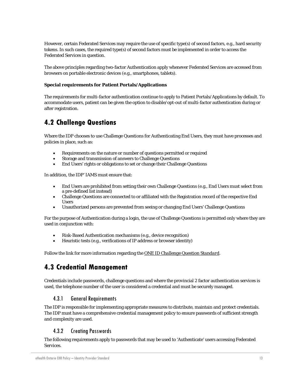However, certain Federated Services may require the use of specific type(s) of second factors, e.g., hard security tokens. In such cases, the required type(s) of second factors must be implemented in order to access the Federated Services in question.

The above principles regarding two-factor Authentication apply whenever Federated Services are accessed from browsers on portable electronic devices (e.g., smartphones, tablets).

#### **Special requirements for Patient Portals/Applications**

The requirements for multi-factor authentication continue to apply to Patient Portals/Applications by default. To accommodate users, patient can be given the option to disable/opt-out of multi-factor authentication during or after registration.

### <span id="page-15-0"></span>**4.2 Challenge Questions**

Where the IDP chooses to use Challenge Questions for Authenticating End Users, they must have processes and policies in place, such as:

- Requirements on the nature or number of questions permitted or required
- Storage and transmission of answers to Challenge Questions
- End Users' rights or obligations to set or change their Challenge Questions

In addition, the IDP' IAMS must ensure that:

- End Users are prohibited from setting their own Challenge Questions (e.g., End Users must select from a pre-defined list instead)
- Challenge Questions are connected to or affiliated with the Registration record of the respective End Users
- Unauthorized persons are prevented from seeing or changing End Users' Challenge Questions

For the purpose of Authentication during a login, the use of Challenge Questions is permitted only where they are used in conjunction with:

- Risk-Based Authentication mechanisms (e.g., device recognition)
- Heuristic tests (e.g., verifications of IP address or browser identity)

Follow the link for more information regarding the *[ONE ID Challenge Question Standard](https://www.ehealthontario.ca/portal/server.pt/gateway/PTARGS_0_95092_19625_0_0_43/http%3B/wcipublisher.phportal.prod.ont.gss%3B7087/publishedcontent/publish/ssha/eho/communities/registration_authority/one_id_policy_and_standards/one_id_challenge_questions_standard.pdf)*.

### **4.3 Credential Management**

Credentials include passwords, challenge questions and where the provincial 2 factor authentication services is used, the telephone number of the user is considered a credential and must be securely managed.

#### 4.3.1 General Requirements

The IDP is responsible for implementing appropriate measures to distribute, maintain and protect credentials. The IDP must have a comprehensive credential management policy to ensure passwords of sufficient strength and complexity are used.

#### 4.3.2 Creating Passwords

The following requirements apply to passwords that may be used to 'Authenticate' users accessing Federated Services.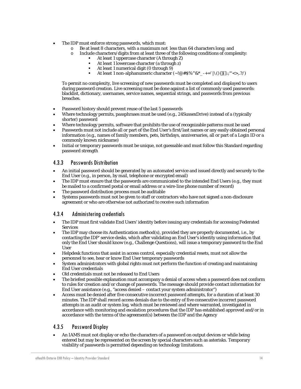- The IDP must enforce strong passwords, which must:
	- o Be at least 8 characters, with a maximum not less than  $64$  characters long; and  $\circ$  Include characters/digits from at least three of the following conditions of comp
	- Include characters/digits from at least three of the following conditions of complexity:
		- At least 1 uppercase character (A through Z)
		- At least 1 lowercase character (a through z)
		- At least 1 numerical digit (0 through 9)
		- At least 1 non-alphanumeric character (~!@#\$%^&\*\_-+=' |\(){}[]:;"'<>,.?/)

To permit no complexity, live screening of new passwords must be completed and displayed to users during password creation. Live screening must be done against a list of commonly used passwords: blacklist, dictionary, usernames, service names, sequential strings, and passwords from previous breaches.

- Password history should prevent reuse of the last 5 passwords
- Where technology permits, passphrases must be used (e.g., 24SussexDrive) instead of a (typically shorter) password
- Where technology permits, software that prohibits the use of recognizable patterns must be used
- Passwords must not include all or part of the End User's first/last names or any easily obtained personal information (e.g., names of family members, pets, birthdays, anniversaries, all or part of a Login ID or a commonly known nickname)
- Initial or temporary passwords must be unique, not guessable and must follow this Standard regarding password strength

#### 4.3.3 Passwords Distribution

- An initial password should be generated by an automated service and issued directly and securely to the End User (e.g., in person, by mail, telephone or encrypted email)
- The IDP must ensure that the passwords are communicated to the intended End Users (e.g., they must be mailed to a confirmed postal or email address or a wire-line phone number of record)
- The password distribution process must be auditable
- Systems passwords must not be given to staff or contractors who have not signed a non-disclosure agreement or who are otherwise not authorized to receive such information

#### <span id="page-16-0"></span>4.3.4 Administering credentials

- The IDP must first validate End Users' identity before issuing any credentials for accessing Federated Services
- The IDP may choose its Authentication method(s), provided they are properly documented, i.e., by contacting the IDP' service desks, which after validating an End User's identity using information that only the End User should know (e.g., Challenge Questions), will issue a temporary password to the End User
- Helpdesk functions that assist in access control, especially credential resets, must not allow the personnel to see, hear or know End User temporary passwords
- System administrators with global rights must not perform the function of creating and maintaining End User credentials
- Old credentials must not be released to End Users
- The briefest possible explanation must accompany a denial of access when a password does not conform to rules for creation and/or change of passwords. The message should provide contact information for End User assistance (e.g., "access denied – contact your system administrator")
- Access must be denied after five consecutive incorrect password attempts, for a duration of at least 30 minutes. The IDP shall record access denials due to the entry of five consecutive incorrect password attempts in an audit or system log, which must be reviewed and where warranted, investigated in accordance with monitoring and escalation procedures that the IDP has established approved and/or in accordance with the terms of the agreement(s) between the IDP and the Agency

#### 4.3.5 Password Display

• An IAMS must not display or echo the characters of a password on output devices or while being entered but may be represented on the screen by special characters such as asterisks. Temporary visibility of passwords is permitted depending on technology limitations.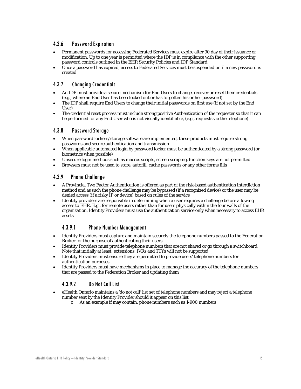#### 4.3.6 Password Expiration

- Permanent passwords for accessing Federated Services must expire after 90 day of their issuance or modification. Up to one year is permitted where the IDP is in compliance with the other supporting password controls outlined in the EHR Security Policies and IDP Standard
- Once a password has expired, access to Federated Services must be suspended until a new password is created

#### 4.3.7 Changing Credentials

- An IDP must provide a secure mechanism for End Users to change, recover or reset their credentials (e.g., where an End User has been locked out or has forgotten his or her password)
- The IDP shall require End Users to change their initial passwords on first use (if not set by the End User)
- The credential reset process must include strong positive Authentication of the requester so that it can be performed for any End User who is not visually identifiable, (e.g., requests via the telephone)

#### 4.3.8 Password Storage

- When password lockers/storage software are implemented, these products must require strong passwords and secure authentication and transmission
- When applicable automated login by password locker must be authenticated by a strong password (or biometrics when possible)
- Unsecure login methods such as macros scripts, screen scraping, function keys are not permitted
- Browsers must not be used to store, autofill, cache passwords or any other forms fills

#### 4.3.9 Phone Challenge

- A Provincial Two Factor Authentication is offered as part of the risk-based authentication interdiction method and as such the phone challenge may be bypassed (if a recognized device) or the user may be denied access (if a risky IP or device) based on rules of the service
- Identity providers are responsible in determining when a user requires a challenge before allowing access to EHR. E.g., for remote users rather than for users physically within the four walls of the organization. Identity Providers must use the authentication service only when necessary to access EHR assets

#### 4.3.9.1 Phone Number Management

- Identity Providers must capture and maintain securely the telephone numbers passed to the Federation Broker for the purpose of authenticating their users
- Identity Providers must provide telephone numbers that are not shared or go through a switchboard. Note that initially at least, extensions, IVRs and TTYs will not be supported
- Identity Providers must ensure they are permitted to provide users' telephone numbers for authentication purposes
- Identity Providers must have mechanisms in place to manage the accuracy of the telephone numbers that are passed to the Federation Broker and updating them

#### 4.3.9.2 Do Not Call List

- eHealth Ontario maintains a 'do not call' list set of telephone numbers and may reject a telephone number sent by the Identity Provider should it appear on this list
	- o As an example if may contain, phone numbers such as 1-900 numbers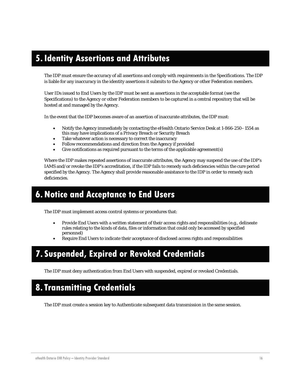## **5.Identity Assertions and Attributes**

The IDP must ensure the accuracy of all assertions and comply with requirements in the Specifications. The IDP is liable for any inaccuracy in the identity assertions it submits to the Agency or other Federation members.

User IDs issued to End Users by the IDP must be sent as assertions in the acceptable format (see the Specifications) to the Agency or other Federation members to be captured in a central repository that will be hosted at and managed by the Agency.

In the event that the IDP becomes aware of an assertion of inaccurate attributes, the IDP must:

- Notify the Agency immediately by contacting the eHealth Ontario Service Desk at 1-866-250–1554 as this may have implications of a Privacy Breach or Security Breach
- Take whatever action is necessary to correct the inaccuracy
- Follow recommendations and direction from the Agency if provided
- Give notifications as required pursuant to the terms of the applicable agreement(s)

Where the IDP makes repeated assertions of inaccurate attributes, the Agency may suspend the use of the IDP's IAMS and/or revoke the IDP's accreditation, if the IDP fails to remedy such deficiencies within the cure period specified by the Agency. The Agency shall provide reasonable assistance to the IDP in order to remedy such deficiencies.

## **6.Notice and Acceptance to End Users**

The IDP must implement access control systems or procedures that:

- Provide End Users with a written statement of their access rights and responsibilities (e.g., delineate rules relating to the kinds of data, files or information that could only be accessed by specified personnel)
- Require End Users to indicate their acceptance of disclosed access rights and responsibilities

## **7. Suspended, Expired or Revoked Credentials**

The IDP must deny authentication from End Users with suspended, expired or revoked Credentials.

## **8.Transmitting Credentials**

The IDP must create a session key to Authenticate subsequent data transmission in the same session.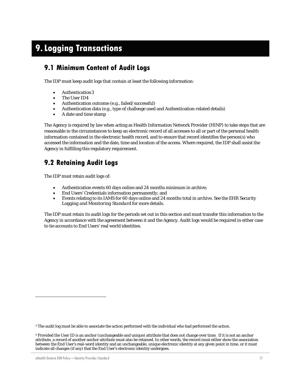## **9.Logging Transactions**

### **9.1 Minimum Content of Audit Logs**

The IDP must keep audit logs that contain at least the following information:

- Authentication[3](#page-14-0)
- The User ID[4](#page-19-1)
- Authentication outcome (e.g., failed/successful)
- Authentication data (e.g., type of challenge used and Authentication-related details)
- A date and time stamp

The Agency is required by law when acting as Health Information Network Provider (HINP) to take steps that are reasonable in the circumstances to keep an electronic record of all accesses to all or part of the personal health information contained in the electronic health record, and to ensure that record identifies the person(s) who accessed the information and the date, time and location of the access. Where required, the IDP shall assist the Agency in fulfilling this regulatory requirement.

## <span id="page-19-0"></span>**9.2 Retaining Audit Logs**

The IDP must retain audit logs of:

- Authentication events 60 days online and 24 months minimum in archive;
- End Users' Credentials information permanently; and
- Events relating to its IAMS for 60 days online and 24 months total in archive. See the *[EHR Security](http://www.ehealthontario.on.ca/images/uploads/support/Security_Logging_and_Monitoring_Policy_EN.pdf)  [Logging and Monitoring Standard](http://www.ehealthontario.on.ca/images/uploads/support/Security_Logging_and_Monitoring_Policy_EN.pdf)* for more details.

The IDP must retain its audit logs for the periods set out in this section and must transfer this information to the Agency in accordance with the agreement between it and the Agency. Audit logs would be required in either case to tie accounts to End Users' real world identities.

 $\overline{a}$ 

<sup>3</sup> The audit log must be able to associate the action performed with the individual who had performed the action.

<span id="page-19-2"></span><span id="page-19-1"></span><sup>4</sup> Provided the User ID is an anchor (unchangeable and unique) attribute that does not change over time. If it is not an anchor attribute, a record of another anchor attribute must also be retained. In other words, the record must either show the association between the End User's real-word identity and an unchangeable, unique electronic identity at any given point in time, or it must indicate all changes (if any) that the End User's electronic identity undergoes.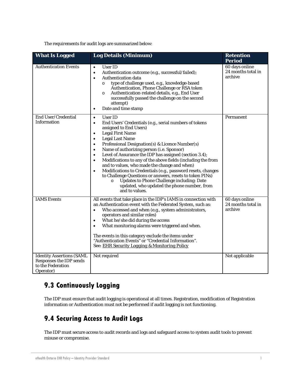The requirements for audit logs are summarized below:

| <b>What Is Logged</b>                                                                         | <b>Log Details (Minimum)</b>                                                                                                                                                                                                                                                                                                                                                                                                                                                                                                                                                                                                                                                                                                                                                                                        | <b>Retention</b><br><b>Period</b>               |
|-----------------------------------------------------------------------------------------------|---------------------------------------------------------------------------------------------------------------------------------------------------------------------------------------------------------------------------------------------------------------------------------------------------------------------------------------------------------------------------------------------------------------------------------------------------------------------------------------------------------------------------------------------------------------------------------------------------------------------------------------------------------------------------------------------------------------------------------------------------------------------------------------------------------------------|-------------------------------------------------|
| <b>Authentication Events</b>                                                                  | User ID<br>$\bullet$<br>Authentication outcome (e.g., successful/failed);<br>$\bullet$<br>Authentication data<br>$\bullet$<br>type of challenge used, e.g., knowledge-based<br>$\circ$<br>Authentication, Phone Challenge or RSA token<br>Authentication-related details, e.g., End User<br>$\circ$<br>successfully passed the challenge on the second<br>attempt)<br>Date and time stamp<br>$\bullet$                                                                                                                                                                                                                                                                                                                                                                                                              | 60 days online<br>24 months total in<br>archive |
| End User/Credential<br><b>Information</b>                                                     | <b>User ID</b><br>$\bullet$<br>End Users' Credentials (e.g., serial numbers of tokens<br>$\bullet$<br>assigned to End Users)<br><b>Legal First Name</b><br>$\bullet$<br><b>Legal Last Name</b><br>$\bullet$<br>Professional Designation(s) & Licence Number(s)<br>$\bullet$<br>Name of authorizing person (i.e. Sponsor)<br>$\bullet$<br>Level of Assurance the IDP has assigned (section 3.4);<br>$\bullet$<br>Modifications to any of the above fields (including the from<br>$\bullet$<br>and to values, who made the change and when)<br>Modifications to Credentials (e.g., password resets, changes<br>$\bullet$<br>to Challenge Questions or answers, resets to token PINs)<br><b>Updates to Phone Challenge including: Date</b><br>$\circ$<br>updated, who updated the phone number, from<br>and to values. | Permanent                                       |
| <b>IAMS</b> Events                                                                            | All events that take place in the IDP's IAMS in connection with<br>an Authentication event with the Federated System, such as:<br>Who accessed and when (e.g., system administrators,<br>$\bullet$<br>operators and similar roles)<br>What he/she did during the access<br>$\bullet$<br>What monitoring alarms were triggered and when.<br>$\bullet$<br>The events in this category exclude the items under<br>"Authentication Events" or "Credential Information".<br>See: EHR Security Logging & Monitoring Policy                                                                                                                                                                                                                                                                                                | 60 days online<br>24 months total in<br>archive |
| <b>Identity Assertions (SAML</b><br>Responses the IDP sends<br>to the Federation<br>Operator) | Not required                                                                                                                                                                                                                                                                                                                                                                                                                                                                                                                                                                                                                                                                                                                                                                                                        | Not applicable                                  |

## **9.3 Continuously Logging**

The IDP must ensure that audit logging is operational at all times. Registration, modification of Registration information or Authentication must not be performed if audit logging is not functioning.

## **9.4 Securing Access to Audit Logs**

The IDP must secure access to audit records and logs and safeguard access to system audit tools to prevent misuse or compromise.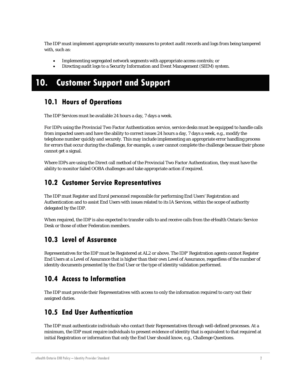The IDP must implement appropriate security measures to protect audit records and logs from being tampered with, such as:

- Implementing segregated network segments with appropriate access controls; or
- Directing audit logs to a Security Information and Event Management (SIEM) system.

## **10. Customer Support and Support**

### **10.1 Hours of Operations**

The IDP Services must be available 24 hours a day, 7 days a week.

For IDPs using the Provincial Two Factor Authentication service, service desks must be equipped to handle calls from impacted users and have the ability to correct issues 24 hours a day, 7 days a week, e.g., modify the telephone number quickly and securely. This may include implementing an appropriate error handling process for errors that occur during the challenge, for example, a user cannot complete the challenge because their phone cannot get a signal.

Where IDPs are using the Direct call method of the Provincial Two Factor Authentication, they must have the ability to monitor failed OOBA challenges and take appropriate action if required.

### **10.2 Customer Service Representatives**

The IDP must Register and Enrol personnel responsible for performing End Users' Registration and Authentication and to assist End Users with issues related to its IA Services, within the scope of authority delegated by the IDP.

When required, the IDP is also expected to transfer calls to and receive calls from the eHealth Ontario Service Desk or those of other Federation members.

## **10.3 Level of Assurance**

Representatives for the IDP must be Registered at AL2 or above. The IDP' Registration agents cannot Register End Users at a Level of Assurance that is higher than their own Level of Assurance, regardless of the number of identity documents presented by the End User or the type of identity validation performed.

## **10.4 Access to Information**

The IDP must provide their Representatives with access to only the information required to carry out their assigned duties.

## **10.5 End User Authentication**

The IDP must authenticate individuals who contact their Representatives through well-defined processes. At a minimum, the IDP must require individuals to present evidence of identity that is equivalent to that required at initial Registration or information that only the End User should know, e.g., Challenge Questions.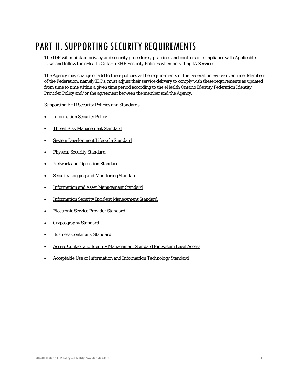## PART II. SUPPORTING SECURITY REQUIREMENTS

The IDP will maintain privacy and security procedures, practices and controls in compliance with Applicable Laws and follow the eHealth Ontario EHR Security Policies when providing IA Services.

The Agency may change or add to these policies as the requirements of the Federation evolve over time. Members of the Federation, namely IDPs, must adjust their service delivery to comply with these requirements as updated from time to time within a given time period according to the eHealth Ontario Identity Federation Identity Provider Policy and/or the agreement between the member and the Agency.

Supporting EHR Security Policies and Standards:

- [Information Security Policy](http://www.ehealthontario.on.ca/images/uploads/support/Information_Security_Policy_EN.pdf)
- [Threat Risk Management Standard](http://www.ehealthontario.on.ca/images/uploads/support/Threat_Risk_Management_Policy_EN.pdf)
- [System Development Lifecycle Standard](http://www.ehealthontario.on.ca/images/uploads/support/System_Development_Lifecycle_Policy_EN.pdf)
- [Physical Security](http://www.ehealthontario.on.ca/images/uploads/support/Physical_Security_Policy_EN.pdf) Standard
- [Network and Operation Standard](http://www.ehealthontario.on.ca/images/uploads/support/Network_and_Operations_Policy_EN.pdf)
- [Security Logging and Monitoring Standard](http://www.ehealthontario.on.ca/images/uploads/support/Security_Logging_and_Monitoring_Policy_EN.pdf)
- [Information and Asset Management Standard](http://www.ehealthontario.on.ca/images/uploads/support/Information_and_Asset_Management_Policy_EN.pdf)
- [Information Security Incident Management Standard](http://www.ehealthontario.on.ca/images/uploads/support/Information_Security_Incident_Management_Policy_EN.pdf)
- [Electronic Service Provider Standard](http://www.ehealthontario.on.ca/images/uploads/support/Electronic_Service_Provider_Policy_EN.pdf)
- [Cryptography Standard](http://www.ehealthontario.on.ca/images/uploads/support/Cryptography_Policy_EN.pdf)
- [Business Continuity Standard](http://www.ehealthontario.on.ca/images/uploads/support/Business_Continuity_Policy_EN.pdf)
- [Access Control and Identity Management Standard for System Level Access](http://www.ehealthontario.on.ca/images/uploads/support/Access_Control_and_Identity_Management_Policy_for_System_Level_Access_EN.pdf)
- [Acceptable Use of Information and Information Technology Standard](http://www.ehealthontario.on.ca/images/uploads/support/Acceptable_Use_of_Information_and_Information_Technology_Policy_EN.pdf)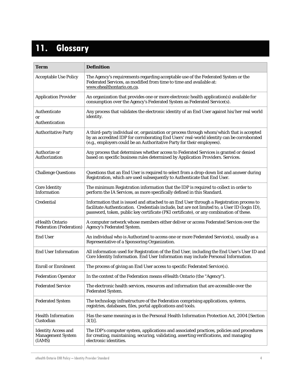## **11. Glossary**

| Term                                                             | <b>Definition</b>                                                                                                                                                                                                                                                                    |
|------------------------------------------------------------------|--------------------------------------------------------------------------------------------------------------------------------------------------------------------------------------------------------------------------------------------------------------------------------------|
| <b>Acceptable Use Policy</b>                                     | The Agency's requirements regarding acceptable use of the Federated System or the<br>Federated Services, as modified from time to time and available at:<br>www.ehealthontario.on.ca.                                                                                                |
| <b>Application Provider</b>                                      | An organization that provides one or more electronic health application(s) available for<br>consumption over the Agency's Federated System as Federated Service(s).                                                                                                                  |
| Authenticate<br><b>or</b><br>Authentication                      | Any process that validates the electronic identity of an End User against his/her real world<br>identity.                                                                                                                                                                            |
| <b>Authoritative Party</b>                                       | A third-party individual or, organization or process through whom/which that is accepted<br>by an accredited IDP for corroborating End Users' real-world identity can be corroborated<br>(e.g., employers could be an Authoritative Party for their employees).                      |
| Authorize or<br>Authorization                                    | Any process that determines whether access to Federated Services is granted or denied<br>based on specific business rules determined by Application Providers. Services.                                                                                                             |
| <b>Challenge Questions</b>                                       | Questions that an End User is required to select from a drop-down list and answer during<br>Registration, which are used subsequently to Authenticate that End User.                                                                                                                 |
| <b>Core Identity</b><br>Information                              | The minimum Registration information that the IDP is required to collect in order to<br>perform the IA Services, as more specifically defined in this Standard.                                                                                                                      |
| Credential                                                       | Information that is issued and attached to an End User through a Registration process to<br>facilitate Authentication. Credentials include, but are not limited to, a User ID (login ID),<br>password, token, public key certificate (PKI certificate), or any combination of these. |
| eHealth Ontario<br><b>Federation (Federation)</b>                | A computer network whose members either deliver or access Federated Services over the<br>Agency's Federated System.                                                                                                                                                                  |
| <b>End User</b>                                                  | An individual who is Authorized to access one or more Federated Service(s), usually as a<br>Representative of a Sponsoring Organization.                                                                                                                                             |
| <b>End User Information</b>                                      | All information used for Registration of the End User, including the End User's User ID and<br>Core Identity Information. End User Information may include Personal Information.                                                                                                     |
| <b>Enroll or Enrolment</b>                                       | The process of giving an End User access to specific Federated Service(s).                                                                                                                                                                                                           |
| <b>Federation Operator</b>                                       | In the context of the Federation means eHealth Ontario (the "Agency").                                                                                                                                                                                                               |
| <b>Federated Service</b>                                         | The electronic health services, resources and information that are accessible over the<br><b>Federated System.</b>                                                                                                                                                                   |
| <b>Federated System</b>                                          | The technology infrastructure of the Federation comprising applications, systems,<br>registries, databases, files, portal applications and tools.                                                                                                                                    |
| <b>Health Information</b><br>Custodian                           | Has the same meaning as in the Personal Health Information Protection Act, 2004 [Section<br>$3(1)$ ].                                                                                                                                                                                |
| <b>Identity Access and</b><br><b>Management System</b><br>(IAMS) | The IDP's computer system, applications and associated practices, policies and procedures<br>for creating, maintaining, securing, validating, asserting verifications, and managing<br>electronic identities.                                                                        |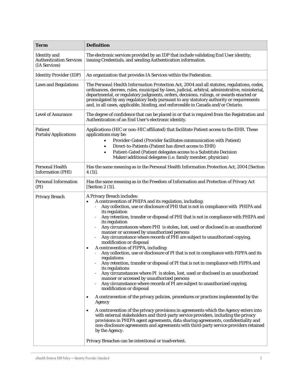| <b>Term</b>                                                            | <b>Definition</b>                                                                                                                                                                                                                                                                                                                                                                                                                                                                                                                                                                                                                                                                                                                                                                                                                                                                                                                                                                                                                                                                                                                                                                                                                                                                                                                                                                                                                                                                                                                                                                                      |
|------------------------------------------------------------------------|--------------------------------------------------------------------------------------------------------------------------------------------------------------------------------------------------------------------------------------------------------------------------------------------------------------------------------------------------------------------------------------------------------------------------------------------------------------------------------------------------------------------------------------------------------------------------------------------------------------------------------------------------------------------------------------------------------------------------------------------------------------------------------------------------------------------------------------------------------------------------------------------------------------------------------------------------------------------------------------------------------------------------------------------------------------------------------------------------------------------------------------------------------------------------------------------------------------------------------------------------------------------------------------------------------------------------------------------------------------------------------------------------------------------------------------------------------------------------------------------------------------------------------------------------------------------------------------------------------|
| <b>Identity</b> and<br><b>Authentication Services</b><br>(IA Services) | The electronic services provided by an IDP that include validating End User identity,<br>issuing Credentials, and sending Authentication information.                                                                                                                                                                                                                                                                                                                                                                                                                                                                                                                                                                                                                                                                                                                                                                                                                                                                                                                                                                                                                                                                                                                                                                                                                                                                                                                                                                                                                                                  |
| <b>Identity Provider (IDP)</b>                                         | An organization that provides IA Services within the Federation.                                                                                                                                                                                                                                                                                                                                                                                                                                                                                                                                                                                                                                                                                                                                                                                                                                                                                                                                                                                                                                                                                                                                                                                                                                                                                                                                                                                                                                                                                                                                       |
| <b>Laws and Regulations</b>                                            | The Personal Health Information Protection Act, 2004 and all statutes, regulations, codes,<br>ordinances, decrees, rules, municipal by-laws, judicial, arbitral, administrative, ministerial,<br>departmental, or regulatory judgments, orders, decisions, rulings, or awards enacted or<br>promulgated by any regulatory body pursuant to any statutory authority or requirements<br>and, in all cases, applicable, binding, and enforceable in Canada and/or Ontario.                                                                                                                                                                                                                                                                                                                                                                                                                                                                                                                                                                                                                                                                                                                                                                                                                                                                                                                                                                                                                                                                                                                                |
| <b>Level of Assurance</b>                                              | The degree of confidence that can be placed in or that is required from the Registration and<br>Authentication of an End User's electronic identity.                                                                                                                                                                                                                                                                                                                                                                                                                                                                                                                                                                                                                                                                                                                                                                                                                                                                                                                                                                                                                                                                                                                                                                                                                                                                                                                                                                                                                                                   |
| Patient<br>Portals/Applications                                        | Applications (HIC or non-HIC affiliated) that facilitate Patient access to the EHR. These<br>applications may be:<br>Provider-Gated (Provider facilitates communication with Patient)<br>Direct-to-Patients (Patient has direct access to EHR)<br>Patient-Gated (Patient delegates access to a Substitute Decision<br>Maker/additional delegates (i.e. family member, physician)                                                                                                                                                                                                                                                                                                                                                                                                                                                                                                                                                                                                                                                                                                                                                                                                                                                                                                                                                                                                                                                                                                                                                                                                                       |
| <b>Personal Health</b><br><b>Information (PHI)</b>                     | Has the same meaning as in the Personal Health Information Protection Act, 2004 [Section<br>$4(1)$ .                                                                                                                                                                                                                                                                                                                                                                                                                                                                                                                                                                                                                                                                                                                                                                                                                                                                                                                                                                                                                                                                                                                                                                                                                                                                                                                                                                                                                                                                                                   |
| <b>Personal Information</b><br>(PI)                                    | Has the same meaning as in the Freedom of Information and Protection of Privacy Act<br>[Section 2 (1)].                                                                                                                                                                                                                                                                                                                                                                                                                                                                                                                                                                                                                                                                                                                                                                                                                                                                                                                                                                                                                                                                                                                                                                                                                                                                                                                                                                                                                                                                                                |
| Privacy Breach                                                         | A Privacy Breach includes:<br>A contravention of PHIPA and its regulation, including:<br>Any collection, use or disclosure of PHI that is not in compliance with PHIPA and<br>its regulation<br>Any retention, transfer or disposal of PHI that is not in compliance with PHIPA and<br>its regulation<br>Any circumstances where PHI is stolen, lost, used or disclosed in an unauthorized<br>manner or accessed by unauthorized persons<br>Any circumstance where records of PHI are subject to unauthorized copying,<br>modification or disposal<br>A contravention of FIPPA, including:<br>٠<br>Any collection, use or disclosure of PI that is not in compliance with FIPPA and its<br>regulations<br>Any retention, transfer or disposal of PI that is not in compliance with FIPPA and<br>its regulations<br>Any circumstances where PI is stolen, lost, used or disclosed in an unauthorized<br>manner or accessed by unauthorized persons<br>Any circumstance where records of PI are subject to unauthorized copying,<br>modification or disposal<br>A contravention of the privacy policies, procedures or practices implemented by the<br>٠<br>Agency<br>A contravention of the privacy provisions in agreements which the Agency enters into<br>with external stakeholders and third-party service providers, including the privacy<br>provisions in PHIPA agent agreements, data sharing agreements, confidentiality and<br>non-disclosure agreements and agreements with third-party service providers retained<br>by the Agency.<br>Privacy Breaches can be intentional or inadvertent. |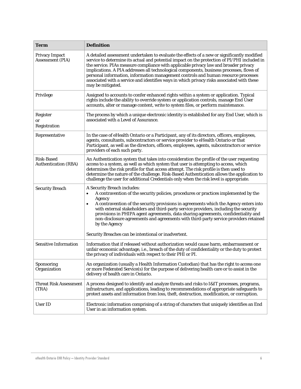| <b>Term</b>                                      | <b>Definition</b>                                                                                                                                                                                                                                                                                                                                                                                                                                                                                                                                                                        |
|--------------------------------------------------|------------------------------------------------------------------------------------------------------------------------------------------------------------------------------------------------------------------------------------------------------------------------------------------------------------------------------------------------------------------------------------------------------------------------------------------------------------------------------------------------------------------------------------------------------------------------------------------|
| <b>Privacy Impact</b><br><b>Assessment (PIA)</b> | A detailed assessment undertaken to evaluate the effects of a new or significantly modified<br>service to determine its actual and potential impact on the protection of PI/PHI included in<br>the service. PIAs measure compliance with applicable privacy law and broader privacy<br>implications. A PIA addresses all technological components, business processes, flows of<br>personal information, information management controls and human resource processes<br>associated with a service and identifies ways in which privacy risks associated with these<br>may be mitigated. |
| Privilege                                        | Assigned to accounts to confer enhanced rights within a system or application. Typical<br>rights include the ability to override system or application controls, manage End User<br>accounts, alter or manage content, write to system files, or perform maintenance.                                                                                                                                                                                                                                                                                                                    |
| Register<br>or<br>Registration                   | The process by which a unique electronic identity is established for any End User, which is<br>associated with a Level of Assurance.                                                                                                                                                                                                                                                                                                                                                                                                                                                     |
| Representative                                   | In the case of eHealth Ontario or a Participant, any of its directors, officers, employees,<br>agents, consultants, subcontractors or service provider to eHealth Ontario or that<br>Participant, as well as the directors, officers, employees, agents, subcontractors or service<br>providers of each such party.                                                                                                                                                                                                                                                                      |
| <b>Risk-Based</b><br><b>Authentication (RBA)</b> | An Authentication system that takes into consideration the profile of the user requesting<br>access to a system, as well as which system that user is attempting to access, which<br>determines the risk profile for that access attempt. The risk profile is then used to<br>determine the nature of the challenge. Risk-Based Authentication allows the application to<br>challenge the user for additional Credentials only when the risk level is appropriate.                                                                                                                       |
| <b>Security Breach</b>                           | A Security Breach includes:<br>A contravention of the security policies, procedures or practices implemented by the<br>Agency<br>A contravention of the security provisions in agreements which the Agency enters into<br>$\bullet$<br>with external stakeholders and third-party service providers, including the security<br>provisions in PHIPA agent agreements, data sharing agreements, confidentiality and<br>non-disclosure agreements and agreements with third-party service providers retained<br>by the Agency<br>Security Breaches can be intentional or inadvertent.       |
| <b>Sensitive Information</b>                     | Information that if released without authorization would cause harm, embarrassment or<br>unfair economic advantage, i.e., breach of the duty of confidentiality or the duty to protect<br>the privacy of individuals with respect to their PHI or PI.                                                                                                                                                                                                                                                                                                                                    |
| Sponsoring<br>Organization                       | An organization (usually a Health Information Custodian) that has the right to access one<br>or more Federated Service(s) for the purpose of delivering health care or to assist in the<br>delivery of health care in Ontario.                                                                                                                                                                                                                                                                                                                                                           |
| <b>Threat Risk Assessment</b><br>(TRA)           | A process designed to identify and analyze threats and risks to I&IT processes, programs,<br>infrastructure, and applications, leading to recommendations of appropriate safeguards to<br>protect assets and information from loss, theft, destruction, modification, or corruption.                                                                                                                                                                                                                                                                                                     |
| User ID                                          | Electronic information comprising of a string of characters that uniquely identifies an End<br>User in an information system.                                                                                                                                                                                                                                                                                                                                                                                                                                                            |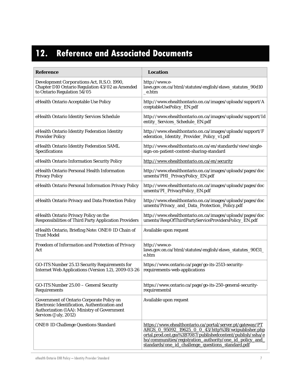## **12. Reference and Associated Documents**

| <b>Reference</b>                                                                                                                                                          | Location                                                                                                                                                                                                                                                                                      |
|---------------------------------------------------------------------------------------------------------------------------------------------------------------------------|-----------------------------------------------------------------------------------------------------------------------------------------------------------------------------------------------------------------------------------------------------------------------------------------------|
| Development Corporations Act, R.S.O. 1990,<br>Chapter D10 Ontario Regulation 43/02 as Amended<br>to Ontario Regulation 54/05                                              | http://www.e-<br>laws.gov.on.ca/html/statutes/english/elaws_statutes_90d10<br>_e.htm                                                                                                                                                                                                          |
| eHealth Ontario Acceptable Use Policy                                                                                                                                     | http://www.ehealthontario.on.ca/images/uploads/support/A<br>cceptableUsePolicy_EN.pdf                                                                                                                                                                                                         |
| eHealth Ontario Identity Services Schedule                                                                                                                                | http://www.ehealthontario.on.ca/images/uploads/support/Id<br>entity_Services_Schedule_EN.pdf                                                                                                                                                                                                  |
| eHealth Ontario Identity Federation Identity<br><b>Provider Policy</b>                                                                                                    | http://www.ehealthontario.on.ca/images/uploads/support/F<br>ederation_Identity_Provider_Policy_v1.pdf                                                                                                                                                                                         |
| eHealth Ontario Identity Federation SAML<br>Specifications                                                                                                                | http://www.ehealthontario.on.ca/en/standards/view/single-<br>sign-on-patient-context-sharing-standard                                                                                                                                                                                         |
| eHealth Ontario Information Security Policy                                                                                                                               | http://www.ehealthontario.on.ca/en/security                                                                                                                                                                                                                                                   |
| eHealth Ontario Personal Health Information<br><b>Privacy Policy</b>                                                                                                      | http://www.ehealthontario.on.ca/images/uploads/pages/doc<br>uments/PHI_PrivacyPolicy_EN.pdf                                                                                                                                                                                                   |
| eHealth Ontario Personal Information Privacy Policy                                                                                                                       | http://www.ehealthontario.on.ca/images/uploads/pages/doc<br>uments/PI_PrivacyPolicy_EN.pdf                                                                                                                                                                                                    |
| eHealth Ontario Privacy and Data Protection Policy                                                                                                                        | http://www.ehealthontario.on.ca/images/uploads/pages/doc<br>uments/Privacy_and_Data_Protection_Policy.pdf                                                                                                                                                                                     |
| eHealth Ontario Privacy Policy on the<br><b>Responsibilities of Third Party Application Providers</b>                                                                     | http://www.ehealthontario.on.ca/images/uploads/pages/doc<br>uments/RespOfThirdPartyServiceProvidersPolicy_EN.pdf                                                                                                                                                                              |
| eHealth Ontario, Briefing Note: ONE® ID Chain of<br><b>Trust Model</b>                                                                                                    | Available upon request                                                                                                                                                                                                                                                                        |
| Freedom of Information and Protection of Privacy<br>Act                                                                                                                   | http://www.e-<br>laws.gov.on.ca/html/statutes/english/elaws_statutes_90f31_<br>e.htm                                                                                                                                                                                                          |
| GO-ITS Number 25.13 Security Requirements for<br>Internet Web Applications (Version 1.2), 2009-03-26                                                                      | https://www.ontario.ca/page/go-its-2513-security-<br>requirements-web-applications                                                                                                                                                                                                            |
| GO-ITS Number 25.00 - General Security<br>Requirements                                                                                                                    | https://www.ontario.ca/page/go-its-250-general-security-<br>requirementsl                                                                                                                                                                                                                     |
| <b>Government of Ontario Corporate Policy on</b><br>Electronic Identification, Authentication and<br>Authorization (IAA): Ministry of Government<br>Services (July, 2012) | Available upon request                                                                                                                                                                                                                                                                        |
| <b>ONE® ID Challenge Questions Standard</b>                                                                                                                               | https://www.ehealthontario.ca/portal/server.pt/gateway/PT<br>ARGS 0 95092 19625 0 0 43/http%3B/wcipublisher.php<br>ortal.prod.ont.gss%3B7087/publishedcontent/publish/ssha/e<br>ho/communities/registration_authority/one_id_policy_and_<br>standards/one_id_challenge_questions_standard.pdf |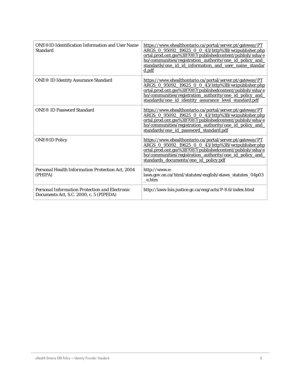| <b>ONE®ID Identification Information and User Name</b><br><b>Standard</b>                 | https://www.ehealthontario.ca/portal/server.pt/gateway/PT<br>ARGS 0 95092 19625 0 0 43/http%3B/wcipublisher.php<br>ortal.prod.ont.gss%3B7087/publishedcontent/publish/ssha/e<br>ho/communities/registration_authority/one_id_policy_and_<br>standards/one_id_id_information_and_user_name_standar<br>d.pdf |
|-------------------------------------------------------------------------------------------|------------------------------------------------------------------------------------------------------------------------------------------------------------------------------------------------------------------------------------------------------------------------------------------------------------|
| <b>ONE® ID Identity Assurance Standard</b>                                                | https://www.ehealthontario.ca/portal/server.pt/gateway/PT<br>ARGS 0 95092 19625 0 0 43/http%3B/wcipublisher.php<br>ortal.prod.ont.gss%3B7087/publishedcontent/publish/ssha/e<br>ho/communities/registration_authority/one_id_policy_and_<br>standards/one_id_identity_assurance_level_standard.pdf         |
| <b>ONE® ID Password Standard</b>                                                          | https://www.ehealthontario.ca/portal/server.pt/gateway/PT<br>ARGS 0 95092 19625 0 0 43/http%3B/wcipublisher.php<br>ortal.prod.ont.gss%3B7087/publishedcontent/publish/ssha/e<br>ho/communities/registration_authority/one_id_policy_and_<br>standards/one id password standard.pdf                         |
| <b>ONE®ID Policy</b>                                                                      | https://www.ehealthontario.ca/portal/server.pt/gateway/PT<br>ARGS 0 95092 19625 0 0 43/http%3B/wcipublisher.php<br>ortal.prod.ont.gss%3B7087/publishedcontent/publish/ssha/e<br>ho/communities/registration_authority/one_id_policy_and_<br>standards_documents/one_id_policy.pdf                          |
| Personal Health Information Protection Act. 2004<br>(PHIPA)                               | http://www.e-<br>laws.gov.on.ca/html/statutes/english/elaws_statutes_04p03<br>e.htm                                                                                                                                                                                                                        |
| Personal Information Protection and Electronic<br>Documents Act, S.C. 2000, c. 5 (PIPEDA) | http://laws-lois.justice.gc.ca/eng/acts/P-8.6/index.html                                                                                                                                                                                                                                                   |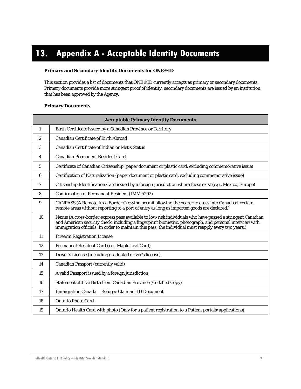## <span id="page-28-0"></span>**13. Appendix A - Acceptable Identity Documents**

#### **Primary and Secondary Identity Documents for ONE®ID**

This section provides a list of documents that ONE®ID currently accepts as primary or secondary documents. Primary documents provide more stringent proof of identity; secondary documents are issued by an institution that has been approved by the Agency.

#### **Primary Documents**

|                | <b>Acceptable Primary Identity Documents</b>                                                                                                                                                                                                                                                                                 |  |  |
|----------------|------------------------------------------------------------------------------------------------------------------------------------------------------------------------------------------------------------------------------------------------------------------------------------------------------------------------------|--|--|
| 1              | Birth Certificate issued by a Canadian Province or Territory                                                                                                                                                                                                                                                                 |  |  |
| $\overline{c}$ | <b>Canadian Certificate of Birth Abroad</b>                                                                                                                                                                                                                                                                                  |  |  |
| 3              | Canadian Certificate of Indian or Metis Status                                                                                                                                                                                                                                                                               |  |  |
| 4              | <b>Canadian Permanent Resident Card</b>                                                                                                                                                                                                                                                                                      |  |  |
| 5              | Certificate of Canadian Citizenship (paper document or plastic card, excluding commemorative issue)                                                                                                                                                                                                                          |  |  |
| 6              | Certification of Naturalization (paper document or plastic card, excluding commemorative issue)                                                                                                                                                                                                                              |  |  |
| 7              | Citizenship Identification Card issued by a foreign jurisdiction where these exist (e.g., Mexico, Europe)                                                                                                                                                                                                                    |  |  |
| 8              | <b>Confirmation of Permanent Resident (IMM 5292)</b>                                                                                                                                                                                                                                                                         |  |  |
| 9              | CANPASS (A Remote Area Border Crossing permit allowing the bearer to cross into Canada at certain<br>remote areas without reporting to a port of entry as long as imported goods are declared.)                                                                                                                              |  |  |
| 10             | Nexus (A cross-border express pass available to low-risk individuals who have passed a stringent Canadian<br>and American security check, including a fingerprint biometric, photograph, and personal interview with<br>immigration officials. In order to maintain this pass, the individual must reapply every two years.) |  |  |
| 11             | <b>Firearm Registration License</b>                                                                                                                                                                                                                                                                                          |  |  |
| 12             | Permanent Resident Card (i.e., Maple Leaf Card)                                                                                                                                                                                                                                                                              |  |  |
| 13             | Driver's License (including graduated driver's license)                                                                                                                                                                                                                                                                      |  |  |
| 14             | <b>Canadian Passport (currently valid)</b>                                                                                                                                                                                                                                                                                   |  |  |
| 15             | A valid Passport issued by a foreign jurisdiction                                                                                                                                                                                                                                                                            |  |  |
| 16             | Statement of Live Birth from Canadian Province (Certified Copy)                                                                                                                                                                                                                                                              |  |  |
| 17             | Immigration Canada - Refugee Claimant ID Document                                                                                                                                                                                                                                                                            |  |  |
| 18             | <b>Ontario Photo Card</b>                                                                                                                                                                                                                                                                                                    |  |  |
| 19             | Ontario Health Card with photo (Only for a patient registration to a Patient portals/applications)                                                                                                                                                                                                                           |  |  |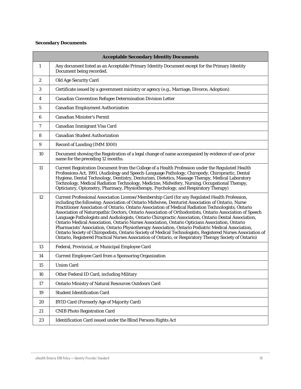#### **Secondary Documents**

| <b>Acceptable Secondary Identity Documents</b> |                                                                                                                                                                                                                                                                                                                                                                                                                                                                                                                                                                                                                                                                                                                                                                                                                                                                                                                                                                      |  |
|------------------------------------------------|----------------------------------------------------------------------------------------------------------------------------------------------------------------------------------------------------------------------------------------------------------------------------------------------------------------------------------------------------------------------------------------------------------------------------------------------------------------------------------------------------------------------------------------------------------------------------------------------------------------------------------------------------------------------------------------------------------------------------------------------------------------------------------------------------------------------------------------------------------------------------------------------------------------------------------------------------------------------|--|
| 1                                              | Any document listed as an Acceptable Primary Identity Document except for the Primary Identity<br>Document being recorded.                                                                                                                                                                                                                                                                                                                                                                                                                                                                                                                                                                                                                                                                                                                                                                                                                                           |  |
| $\boldsymbol{2}$                               | Old Age Security Card                                                                                                                                                                                                                                                                                                                                                                                                                                                                                                                                                                                                                                                                                                                                                                                                                                                                                                                                                |  |
| 3                                              | Certificate issued by a government ministry or agency (e.g., Marriage, Divorce, Adoption)                                                                                                                                                                                                                                                                                                                                                                                                                                                                                                                                                                                                                                                                                                                                                                                                                                                                            |  |
| 4                                              | Canadian Convention Refugee Determination Division Letter                                                                                                                                                                                                                                                                                                                                                                                                                                                                                                                                                                                                                                                                                                                                                                                                                                                                                                            |  |
| 5                                              | <b>Canadian Employment Authorization</b>                                                                                                                                                                                                                                                                                                                                                                                                                                                                                                                                                                                                                                                                                                                                                                                                                                                                                                                             |  |
| 6                                              | <b>Canadian Minister's Permit</b>                                                                                                                                                                                                                                                                                                                                                                                                                                                                                                                                                                                                                                                                                                                                                                                                                                                                                                                                    |  |
| 7                                              | Canadian Immigrant Visa Card                                                                                                                                                                                                                                                                                                                                                                                                                                                                                                                                                                                                                                                                                                                                                                                                                                                                                                                                         |  |
| 8                                              | <b>Canadian Student Authorization</b>                                                                                                                                                                                                                                                                                                                                                                                                                                                                                                                                                                                                                                                                                                                                                                                                                                                                                                                                |  |
| 9                                              | Record of Landing (IMM 1000)                                                                                                                                                                                                                                                                                                                                                                                                                                                                                                                                                                                                                                                                                                                                                                                                                                                                                                                                         |  |
| 10                                             | Document showing the Registration of a legal change of name accompanied by evidence of use of prior<br>name for the preceding 12 months.                                                                                                                                                                                                                                                                                                                                                                                                                                                                                                                                                                                                                                                                                                                                                                                                                             |  |
| 11                                             | Current Registration Document from the College of a Health Profession under the Regulated Health<br>Professions Act, 1991. (Audiology and Speech-Language Pathology, Chiropody, Chiropractic, Dental<br>Hygiene, Dental Technology, Dentistry, Denturism, Dietetics, Massage Therapy, Medical Laboratory<br>Technology, Medical Radiation Technology, Medicine, Midwifery, Nursing, Occupational Therapy,<br>Opticianry, Optometry, Pharmacy, Physiotherapy, Psychology, and Respiratory Therapy)                                                                                                                                                                                                                                                                                                                                                                                                                                                                    |  |
| 12                                             | Current Professional Association License/Membership Card (for any Regulated Health Profession,<br>including the following: Association of Ontario Midwives, Denturist Association of Ontario, Nurse<br>Practitioner Association of Ontario, Ontario Association of Medical Radiation Technologists, Ontario<br>Association of Naturopathic Doctors, Ontario Association of Orthodontists, Ontario Association of Speech<br>Language Pathologists and Audiologists, Ontario Chiropractic Association, Ontario Dental Association,<br>Ontario Medical Association, Ontario Nurses Association, Ontario Opticians Association, Ontario<br>Pharmacists' Association, Ontario Physiotherapy Association, Ontario Podiatric Medical Association,<br>Ontario Society of Chiropodists, Ontario Society of Medical Technologists, Registered Nurses Association of<br>Ontario, Registered Practical Nurses Association of Ontario, or Respiratory Therapy Society of Ontario) |  |
| 13                                             | Federal, Provincial, or Municipal Employee Card                                                                                                                                                                                                                                                                                                                                                                                                                                                                                                                                                                                                                                                                                                                                                                                                                                                                                                                      |  |
| 14                                             | <b>Current Employee Card from a Sponsoring Organization</b>                                                                                                                                                                                                                                                                                                                                                                                                                                                                                                                                                                                                                                                                                                                                                                                                                                                                                                          |  |
| 15                                             | <b>Union Card</b>                                                                                                                                                                                                                                                                                                                                                                                                                                                                                                                                                                                                                                                                                                                                                                                                                                                                                                                                                    |  |
| 16                                             | Other Federal ID Card, including Military                                                                                                                                                                                                                                                                                                                                                                                                                                                                                                                                                                                                                                                                                                                                                                                                                                                                                                                            |  |
| 17                                             | <b>Ontario Ministry of Natural Resources Outdoors Card</b>                                                                                                                                                                                                                                                                                                                                                                                                                                                                                                                                                                                                                                                                                                                                                                                                                                                                                                           |  |
| 19                                             | <b>Student Identification Card</b>                                                                                                                                                                                                                                                                                                                                                                                                                                                                                                                                                                                                                                                                                                                                                                                                                                                                                                                                   |  |
| 20                                             | <b>BYID Card (Formerly Age of Majority Card)</b>                                                                                                                                                                                                                                                                                                                                                                                                                                                                                                                                                                                                                                                                                                                                                                                                                                                                                                                     |  |
| 21                                             | <b>CNIB Photo Registration Card</b>                                                                                                                                                                                                                                                                                                                                                                                                                                                                                                                                                                                                                                                                                                                                                                                                                                                                                                                                  |  |
| 23                                             | Identification Card issued under the Blind Persons Rights Act                                                                                                                                                                                                                                                                                                                                                                                                                                                                                                                                                                                                                                                                                                                                                                                                                                                                                                        |  |